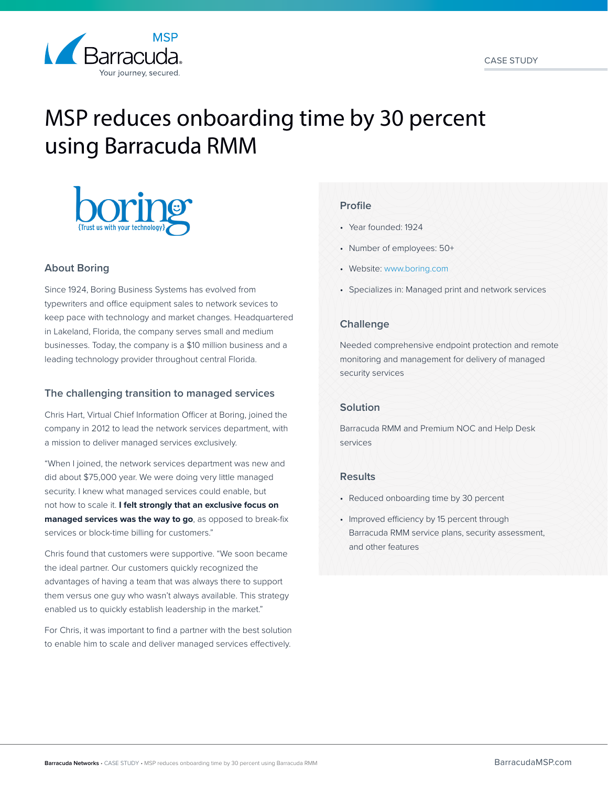

# MSP reduces onboarding time by 30 percent using Barracuda RMM



# **About Boring**

Since 1924, Boring Business Systems has evolved from typewriters and office equipment sales to network sevices to keep pace with technology and market changes. Headquartered in Lakeland, Florida, the company serves small and medium businesses. Today, the company is a \$10 million business and a leading technology provider throughout central Florida.

# **The challenging transition to managed services**

Chris Hart, Virtual Chief Information Officer at Boring, joined the company in 2012 to lead the network services department, with a mission to deliver managed services exclusively.

"When I joined, the network services department was new and did about \$75,000 year. We were doing very little managed security. I knew what managed services could enable, but not how to scale it. **I felt strongly that an exclusive focus on managed services was the way to go**, as opposed to break-fix services or block-time billing for customers."

Chris found that customers were supportive. "We soon became the ideal partner. Our customers quickly recognized the advantages of having a team that was always there to support them versus one guy who wasn't always available. This strategy enabled us to quickly establish leadership in the market."

For Chris, it was important to find a partner with the best solution to enable him to scale and deliver managed services effectively.

#### **Profile**

- Year founded: 1924
- Number of employees: 50+
- Website: [www.boring.com](http://www.boring.com )
- Specializes in: Managed print and network services

#### **Challenge**

Needed comprehensive endpoint protection and remote monitoring and management for delivery of managed security services

# **Solution**

Barracuda RMM and Premium NOC and Help Desk services

#### **Results**

- Reduced onboarding time by 30 percent
- Improved efficiency by 15 percent through Barracuda RMM service plans, security assessment, and other features